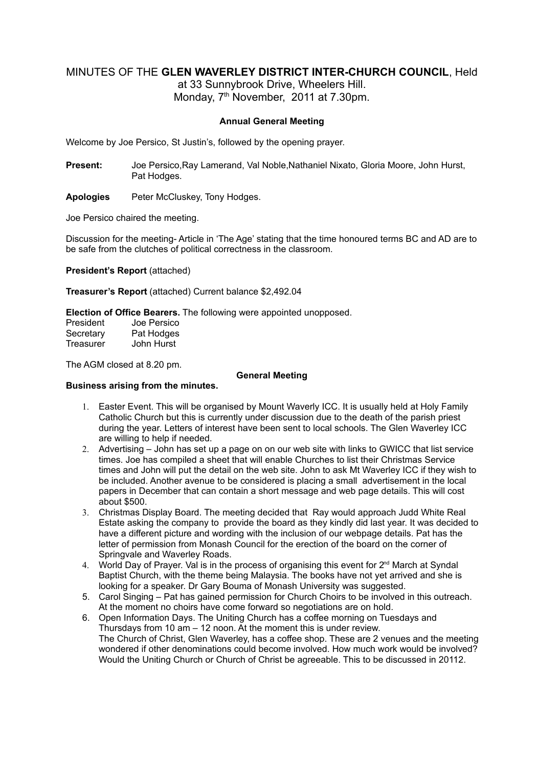# MINUTES OF THE **GLEN WAVERLEY DISTRICT INTER-CHURCH COUNCIL**, Held

at 33 Sunnybrook Drive, Wheelers Hill. Monday, 7<sup>th</sup> November, 2011 at 7.30pm.

# **Annual General Meeting**

Welcome by Joe Persico, St Justin's, followed by the opening prayer.

**Present:** Joe Persico,Ray Lamerand, Val Noble,Nathaniel Nixato, Gloria Moore, John Hurst, Pat Hodges.

**Apologies** Peter McCluskey, Tony Hodges.

Joe Persico chaired the meeting.

Discussion for the meeting- Article in 'The Age' stating that the time honoured terms BC and AD are to be safe from the clutches of political correctness in the classroom.

**President's Report** (attached)

**Treasurer's Report** (attached) Current balance \$2,492.04

**Election of Office Bearers.** The following were appointed unopposed.

| President | Joe Persico |
|-----------|-------------|
| Secretary | Pat Hodges  |
| Treasurer | John Hurst  |

The AGM closed at 8.20 pm.

#### **General Meeting**

### **Business arising from the minutes.**

- 1. Easter Event. This will be organised by Mount Waverly ICC. It is usually held at Holy Family Catholic Church but this is currently under discussion due to the death of the parish priest during the year. Letters of interest have been sent to local schools. The Glen Waverley ICC are willing to help if needed.
- 2. Advertising John has set up a page on on our web site with links to GWICC that list service times. Joe has compiled a sheet that will enable Churches to list their Christmas Service times and John will put the detail on the web site. John to ask Mt Waverley ICC if they wish to be included. Another avenue to be considered is placing a small advertisement in the local papers in December that can contain a short message and web page details. This will cost about \$500.
- 3. Christmas Display Board. The meeting decided that Ray would approach Judd White Real Estate asking the company to provide the board as they kindly did last year. It was decided to have a different picture and wording with the inclusion of our webpage details. Pat has the letter of permission from Monash Council for the erection of the board on the corner of Springvale and Waverley Roads.
- 4. World Day of Prayer. Val is in the process of organising this event for  $2<sup>nd</sup>$  March at Syndal Baptist Church, with the theme being Malaysia. The books have not yet arrived and she is looking for a speaker. Dr Gary Bouma of Monash University was suggested.
- 5. Carol Singing Pat has gained permission for Church Choirs to be involved in this outreach. At the moment no choirs have come forward so negotiations are on hold.
- 6. Open Information Days. The Uniting Church has a coffee morning on Tuesdays and Thursdays from 10 am – 12 noon. At the moment this is under review. The Church of Christ, Glen Waverley, has a coffee shop. These are 2 venues and the meeting wondered if other denominations could become involved. How much work would be involved? Would the Uniting Church or Church of Christ be agreeable. This to be discussed in 20112.